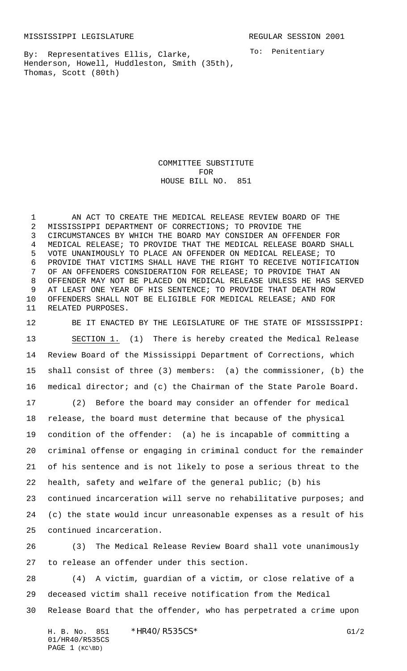MISSISSIPPI LEGISLATURE **REGULAR SESSION 2001** 

By: Representatives Ellis, Clarke, Henderson, Howell, Huddleston, Smith (35th), Thomas, Scott (80th)

To: Penitentiary

COMMITTEE SUBSTITUTE FOR HOUSE BILL NO. 851

 AN ACT TO CREATE THE MEDICAL RELEASE REVIEW BOARD OF THE MISSISSIPPI DEPARTMENT OF CORRECTIONS; TO PROVIDE THE CIRCUMSTANCES BY WHICH THE BOARD MAY CONSIDER AN OFFENDER FOR MEDICAL RELEASE; TO PROVIDE THAT THE MEDICAL RELEASE BOARD SHALL VOTE UNANIMOUSLY TO PLACE AN OFFENDER ON MEDICAL RELEASE; TO PROVIDE THAT VICTIMS SHALL HAVE THE RIGHT TO RECEIVE NOTIFICATION OF AN OFFENDERS CONSIDERATION FOR RELEASE; TO PROVIDE THAT AN OFFENDER MAY NOT BE PLACED ON MEDICAL RELEASE UNLESS HE HAS SERVED AT LEAST ONE YEAR OF HIS SENTENCE; TO PROVIDE THAT DEATH ROW OFFENDERS SHALL NOT BE ELIGIBLE FOR MEDICAL RELEASE; AND FOR RELATED PURPOSES.

 BE IT ENACTED BY THE LEGISLATURE OF THE STATE OF MISSISSIPPI: SECTION 1. (1) There is hereby created the Medical Release Review Board of the Mississippi Department of Corrections, which shall consist of three (3) members: (a) the commissioner, (b) the medical director; and (c) the Chairman of the State Parole Board. (2) Before the board may consider an offender for medical release, the board must determine that because of the physical condition of the offender: (a) he is incapable of committing a criminal offense or engaging in criminal conduct for the remainder of his sentence and is not likely to pose a serious threat to the health, safety and welfare of the general public; (b) his continued incarceration will serve no rehabilitative purposes; and (c) the state would incur unreasonable expenses as a result of his continued incarceration.

 (3) The Medical Release Review Board shall vote unanimously to release an offender under this section.

 (4) A victim, guardian of a victim, or close relative of a deceased victim shall receive notification from the Medical Release Board that the offender, who has perpetrated a crime upon

H. B. No. 851 \*HR40/R535CS\* G1/2 01/HR40/R535CS PAGE 1 (KC\BD)